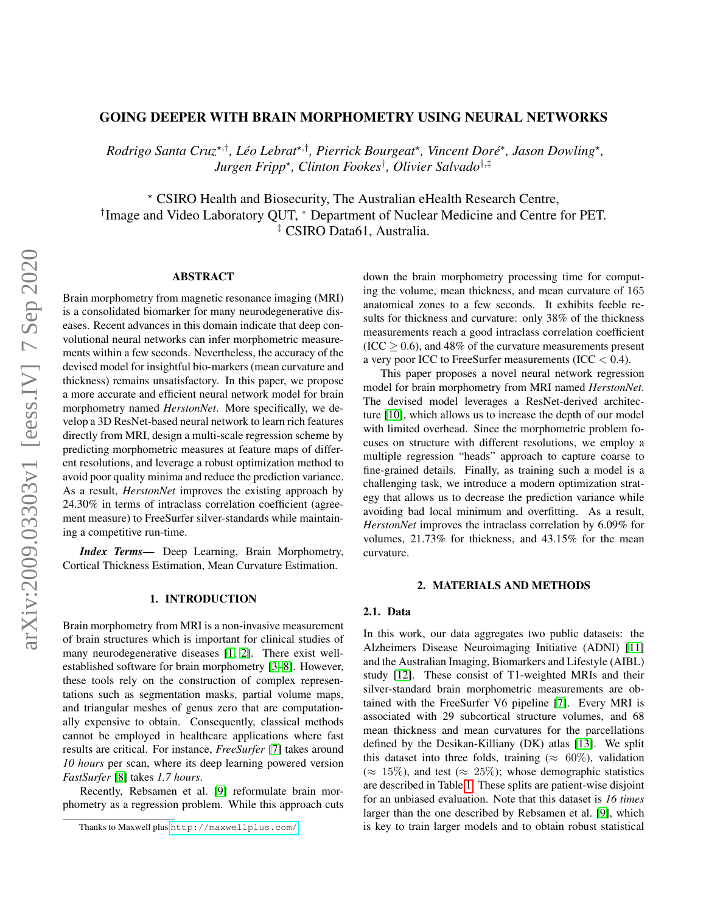# GOING DEEPER WITH BRAIN MORPHOMETRY USING NEURAL NETWORKS

*Rodrigo Santa Cruz*\*<sup>,†</sup>, *Léo Lebrat*\*<sup>,†</sup>, *Pierrick Bourgeat*\*, *Vincent Doré*\*, *Jason Dowling*\*, *Jurgen Fripp*? *, Clinton Fookes*† *, Olivier Salvado*†,‡

? CSIRO Health and Biosecurity, The Australian eHealth Research Centre, † Image and Video Laboratory QUT, <sup>∗</sup> Department of Nuclear Medicine and Centre for PET. ‡ CSIRO Data61, Australia.

### ABSTRACT

Brain morphometry from magnetic resonance imaging (MRI) is a consolidated biomarker for many neurodegenerative diseases. Recent advances in this domain indicate that deep convolutional neural networks can infer morphometric measurements within a few seconds. Nevertheless, the accuracy of the devised model for insightful bio-markers (mean curvature and thickness) remains unsatisfactory. In this paper, we propose a more accurate and efficient neural network model for brain morphometry named *HerstonNet*. More specifically, we develop a 3D ResNet-based neural network to learn rich features directly from MRI, design a multi-scale regression scheme by predicting morphometric measures at feature maps of different resolutions, and leverage a robust optimization method to avoid poor quality minima and reduce the prediction variance. As a result, *HerstonNet* improves the existing approach by 24.30% in terms of intraclass correlation coefficient (agreement measure) to FreeSurfer silver-standards while maintaining a competitive run-time.

*Index Terms*— Deep Learning, Brain Morphometry, Cortical Thickness Estimation, Mean Curvature Estimation.

#### 1. INTRODUCTION

Brain morphometry from MRI is a non-invasive measurement of brain structures which is important for clinical studies of many neurodegenerative diseases [\[1,](#page-4-0) [2\]](#page-4-1). There exist wellestablished software for brain morphometry [\[3–](#page-4-2)[8\]](#page-4-3). However, these tools rely on the construction of complex representations such as segmentation masks, partial volume maps, and triangular meshes of genus zero that are computationally expensive to obtain. Consequently, classical methods cannot be employed in healthcare applications where fast results are critical. For instance, *FreeSurfer* [\[7\]](#page-4-4) takes around *10 hours* per scan, where its deep learning powered version *FastSurfer* [\[8\]](#page-4-3) takes *1.7 hours*.

Recently, Rebsamen et al. [\[9\]](#page-4-5) reformulate brain morphometry as a regression problem. While this approach cuts down the brain morphometry processing time for computing the volume, mean thickness, and mean curvature of 165 anatomical zones to a few seconds. It exhibits feeble results for thickness and curvature: only 38% of the thickness measurements reach a good intraclass correlation coefficient  $(ICC > 0.6)$ , and 48% of the curvature measurements present a very poor ICC to FreeSurfer measurements (ICC < 0.4).

This paper proposes a novel neural network regression model for brain morphometry from MRI named *HerstonNet*. The devised model leverages a ResNet-derived architecture [\[10\]](#page-4-6), which allows us to increase the depth of our model with limited overhead. Since the morphometric problem focuses on structure with different resolutions, we employ a multiple regression "heads" approach to capture coarse to fine-grained details. Finally, as training such a model is a challenging task, we introduce a modern optimization strategy that allows us to decrease the prediction variance while avoiding bad local minimum and overfitting. As a result, *HerstonNet* improves the intraclass correlation by 6.09% for volumes, 21.73% for thickness, and 43.15% for the mean curvature.

### 2. MATERIALS AND METHODS

## 2.1. Data

In this work, our data aggregates two public datasets: the Alzheimers Disease Neuroimaging Initiative (ADNI) [\[11\]](#page-4-7) and the Australian Imaging, Biomarkers and Lifestyle (AIBL) study [\[12\]](#page-4-8). These consist of T1-weighted MRIs and their silver-standard brain morphometric measurements are obtained with the FreeSurfer V6 pipeline [\[7\]](#page-4-4). Every MRI is associated with 29 subcortical structure volumes, and 68 mean thickness and mean curvatures for the parcellations defined by the Desikan-Killiany (DK) atlas [\[13\]](#page-4-9). We split this dataset into three folds, training ( $\approx 60\%$ ), validation  $(\approx 15\%)$ , and test  $(\approx 25\%)$ ; whose demographic statistics are described in Table [1.](#page-1-0) These splits are patient-wise disjoint for an unbiased evaluation. Note that this dataset is *16 times* larger than the one described by Rebsamen et al. [\[9\]](#page-4-5), which is key to train larger models and to obtain robust statistical

Thanks to Maxwell plus <http://maxwellplus.com/>.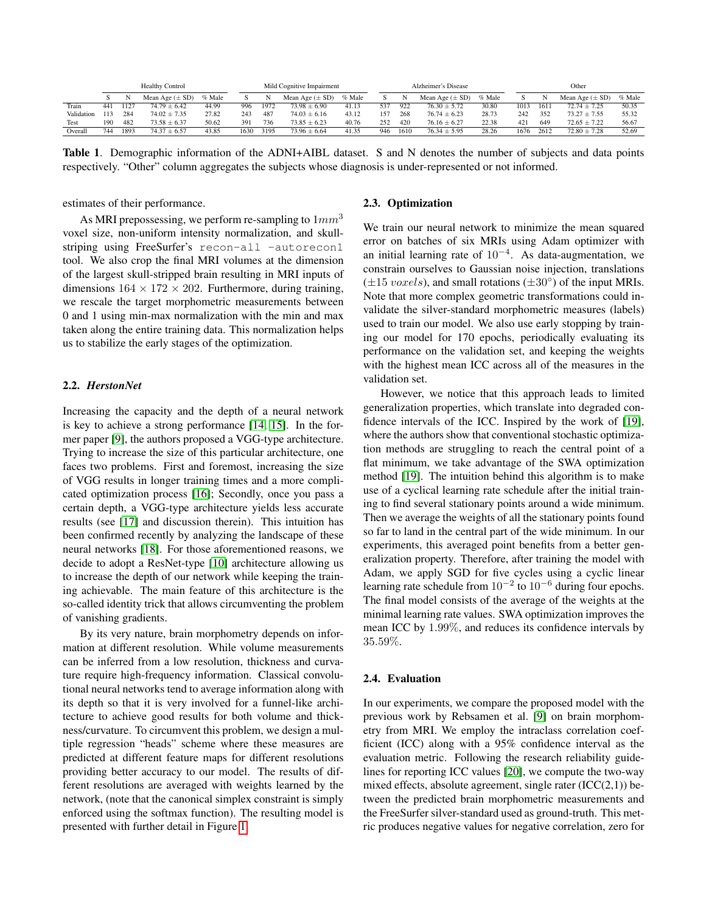|            | <b>Healthy Control</b> |      |                     |        |      | Mild Cognitive Impairment |                     |        |     | Alzheimer's Disease |                     |        |      | Other |                     |        |  |
|------------|------------------------|------|---------------------|--------|------|---------------------------|---------------------|--------|-----|---------------------|---------------------|--------|------|-------|---------------------|--------|--|
|            |                        |      | Mean Age $(\pm SD)$ | % Male |      |                           | Mean Age $(\pm SD)$ | % Male |     |                     | Mean Age $(\pm SD)$ | % Male |      |       | Mean Age $(\pm SD)$ | % Male |  |
| Train      | 441                    | 1127 | $74.79 \pm 6.42$    | 44.99  | 996  | 1972                      | $73.98 \pm 6.90$    | 41.13  | 537 | 922                 | $76.30 \pm 5.72$    | 30.80  | 1013 | 1611  | $72.74 \pm 7.25$    | 50.35  |  |
| Validation |                        | 284  | $74.02 \pm 7.35$    | 27.82  | 243  | 487                       | $74.03 \pm 6.16$    | 43.12  | 157 | 268                 | $76.74 \pm 6.23$    | 28.73  | 242  | 352   | $73.27 \pm 7.55$    | 55.32  |  |
| Test       | 190                    | 482  | $73.58 \pm 6.37$    | 50.62  | 391  | 736                       | $73.85 \pm 6.23$    | 40.76  | 252 | 420                 | $76.16 \pm 6.27$    | 22.38  | 421  | 649   | $72.65 \pm 7.22$    | 56.67  |  |
| Overall    | 744                    | 1893 | $74.37 \pm 6.57$    | 43.85  | 1630 | 3195                      | $73.96 \pm 6.64$    | 41.35  | 946 | 1610                | $76.34 \pm 5.95$    | 28.26  | 1676 | 2612  | $72.80 \pm 7.28$    | 52.69  |  |

<span id="page-1-0"></span>Table 1. Demographic information of the ADNI+AIBL dataset. S and N denotes the number of subjects and data points respectively. "Other" column aggregates the subjects whose diagnosis is under-represented or not informed.

estimates of their performance.

As MRI prepossessing, we perform re-sampling to  $1mm<sup>3</sup>$ voxel size, non-uniform intensity normalization, and skullstriping using FreeSurfer's recon-all -autorecon1 tool. We also crop the final MRI volumes at the dimension of the largest skull-stripped brain resulting in MRI inputs of dimensions  $164 \times 172 \times 202$ . Furthermore, during training, we rescale the target morphometric measurements between 0 and 1 using min-max normalization with the min and max taken along the entire training data. This normalization helps us to stabilize the early stages of the optimization.

## 2.2. *HerstonNet*

Increasing the capacity and the depth of a neural network is key to achieve a strong performance [\[14,](#page-4-10) [15\]](#page-4-11). In the former paper [\[9\]](#page-4-5), the authors proposed a VGG-type architecture. Trying to increase the size of this particular architecture, one faces two problems. First and foremost, increasing the size of VGG results in longer training times and a more complicated optimization process [\[16\]](#page-4-12); Secondly, once you pass a certain depth, a VGG-type architecture yields less accurate results (see [\[17\]](#page-4-13) and discussion therein). This intuition has been confirmed recently by analyzing the landscape of these neural networks [\[18\]](#page-4-14). For those aforementioned reasons, we decide to adopt a ResNet-type [\[10\]](#page-4-6) architecture allowing us to increase the depth of our network while keeping the training achievable. The main feature of this architecture is the so-called identity trick that allows circumventing the problem of vanishing gradients.

By its very nature, brain morphometry depends on information at different resolution. While volume measurements can be inferred from a low resolution, thickness and curvature require high-frequency information. Classical convolutional neural networks tend to average information along with its depth so that it is very involved for a funnel-like architecture to achieve good results for both volume and thickness/curvature. To circumvent this problem, we design a multiple regression "heads" scheme where these measures are predicted at different feature maps for different resolutions providing better accuracy to our model. The results of different resolutions are averaged with weights learned by the network, (note that the canonical simplex constraint is simply enforced using the softmax function). The resulting model is presented with further detail in Figure [1.](#page-2-0)

## 2.3. Optimization

We train our neural network to minimize the mean squared error on batches of six MRIs using Adam optimizer with an initial learning rate of  $10^{-4}$ . As data-augmentation, we constrain ourselves to Gaussian noise injection, translations  $(\pm 15 \text{ voxels})$ , and small rotations  $(\pm 30^{\circ})$  of the input MRIs. Note that more complex geometric transformations could invalidate the silver-standard morphometric measures (labels) used to train our model. We also use early stopping by training our model for 170 epochs, periodically evaluating its performance on the validation set, and keeping the weights with the highest mean ICC across all of the measures in the validation set.

However, we notice that this approach leads to limited generalization properties, which translate into degraded confidence intervals of the ICC. Inspired by the work of [\[19\]](#page-4-15), where the authors show that conventional stochastic optimization methods are struggling to reach the central point of a flat minimum, we take advantage of the SWA optimization method [\[19\]](#page-4-15). The intuition behind this algorithm is to make use of a cyclical learning rate schedule after the initial training to find several stationary points around a wide minimum. Then we average the weights of all the stationary points found so far to land in the central part of the wide minimum. In our experiments, this averaged point benefits from a better generalization property. Therefore, after training the model with Adam, we apply SGD for five cycles using a cyclic linear learning rate schedule from  $10^{-2}$  to  $10^{-6}$  during four epochs. The final model consists of the average of the weights at the minimal learning rate values. SWA optimization improves the mean ICC by 1.99%, and reduces its confidence intervals by 35.59%.

# 2.4. Evaluation

In our experiments, we compare the proposed model with the previous work by Rebsamen et al. [\[9\]](#page-4-5) on brain morphometry from MRI. We employ the intraclass correlation coefficient (ICC) along with a 95% confidence interval as the evaluation metric. Following the research reliability guidelines for reporting ICC values [\[20\]](#page-4-16), we compute the two-way mixed effects, absolute agreement, single rater  $(ICC(2,1))$  between the predicted brain morphometric measurements and the FreeSurfer silver-standard used as ground-truth. This metric produces negative values for negative correlation, zero for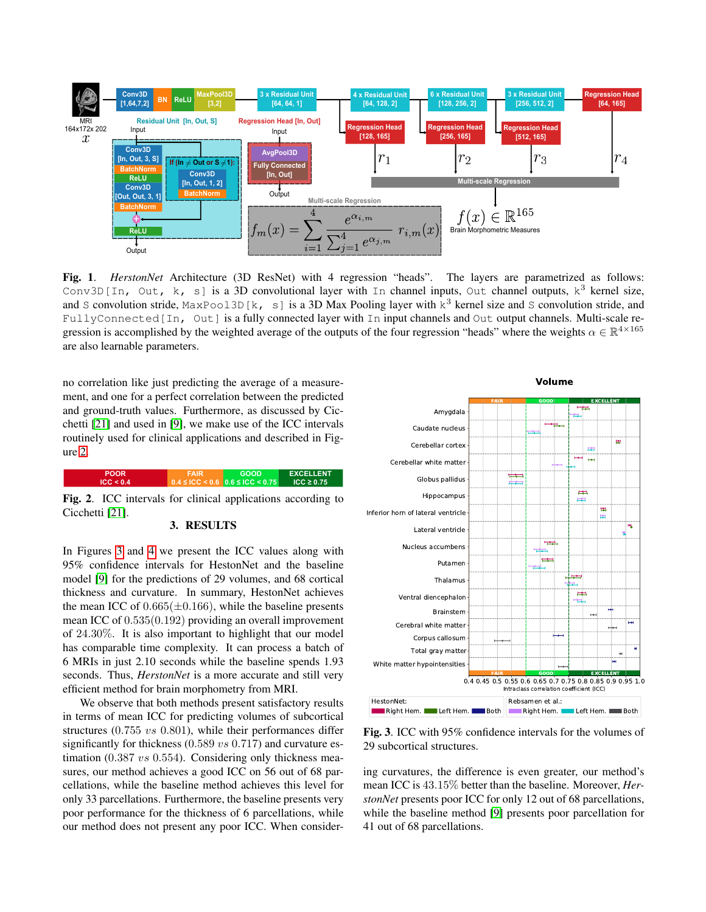

<span id="page-2-0"></span>Fig. 1. *HerstonNet* Architecture (3D ResNet) with 4 regression "heads". The layers are parametrized as follows: Conv3D[In, Out, k, s] is a 3D convolutional layer with In channel inputs, Out channel outputs,  $k^3$  kernel size, and S convolution stride,  $MaxPool3D[k, s]$  is a 3D Max Pooling layer with  $k^3$  kernel size and S convolution stride, and FullyConnected<sup>[In, Out]</sup> is a fully connected layer with In input channels and Out output channels. Multi-scale regression is accomplished by the weighted average of the outputs of the four regression "heads" where the weights  $\alpha \in \mathbb{R}^{4 \times 165}$ are also learnable parameters.

no correlation like just predicting the average of a measurement, and one for a perfect correlation between the predicted and ground-truth values. Furthermore, as discussed by Cicchetti [\[21\]](#page-4-17) and used in [\[9\]](#page-4-5), we make use of the ICC intervals routinely used for clinical applications and described in Figure [2.](#page-2-1)

<span id="page-2-1"></span>

Fig. 2. ICC intervals for clinical applications according to Cicchetti [\[21\]](#page-4-17).

#### 3. RESULTS

In Figures [3](#page-2-2) and [4](#page-3-0) we present the ICC values along with 95% confidence intervals for HestonNet and the baseline model [\[9\]](#page-4-5) for the predictions of 29 volumes, and 68 cortical thickness and curvature. In summary, HestonNet achieves the mean ICC of  $0.665(\pm 0.166)$ , while the baseline presents mean ICC of 0.535(0.192) providing an overall improvement of 24.30%. It is also important to highlight that our model has comparable time complexity. It can process a batch of 6 MRIs in just 2.10 seconds while the baseline spends 1.93 seconds. Thus, *HerstonNet* is a more accurate and still very efficient method for brain morphometry from MRI.

We observe that both methods present satisfactory results in terms of mean ICC for predicting volumes of subcortical structures (0.755 vs 0.801), while their performances differ significantly for thickness  $(0.589 \text{ vs } 0.717)$  and curvature estimation (0.387 vs 0.554). Considering only thickness measures, our method achieves a good ICC on 56 out of 68 parcellations, while the baseline method achieves this level for only 33 parcellations. Furthermore, the baseline presents very poor performance for the thickness of 6 parcellations, while our method does not present any poor ICC. When consider-



<span id="page-2-2"></span>Fig. 3. ICC with 95% confidence intervals for the volumes of 29 subcortical structures.

ing curvatures, the difference is even greater, our method's mean ICC is 43.15% better than the baseline. Moreover, *HerstonNet* presents poor ICC for only 12 out of 68 parcellations, while the baseline method [\[9\]](#page-4-5) presents poor parcellation for 41 out of 68 parcellations.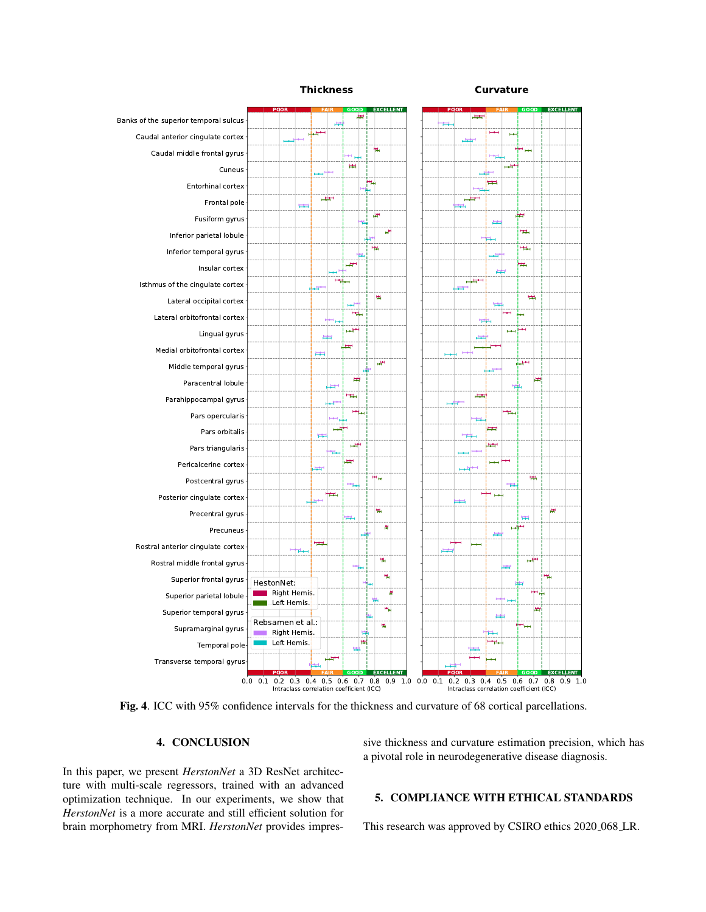

<span id="page-3-0"></span>Fig. 4. ICC with 95% confidence intervals for the thickness and curvature of 68 cortical parcellations.

## 4. CONCLUSION

In this paper, we present *HerstonNet* a 3D ResNet architecture with multi-scale regressors, trained with an advanced optimization technique. In our experiments, we show that *HerstonNet* is a more accurate and still efficient solution for brain morphometry from MRI. *HerstonNet* provides impressive thickness and curvature estimation precision, which has a pivotal role in neurodegenerative disease diagnosis.

# 5. COMPLIANCE WITH ETHICAL STANDARDS

This research was approved by CSIRO ethics 2020 068 LR.